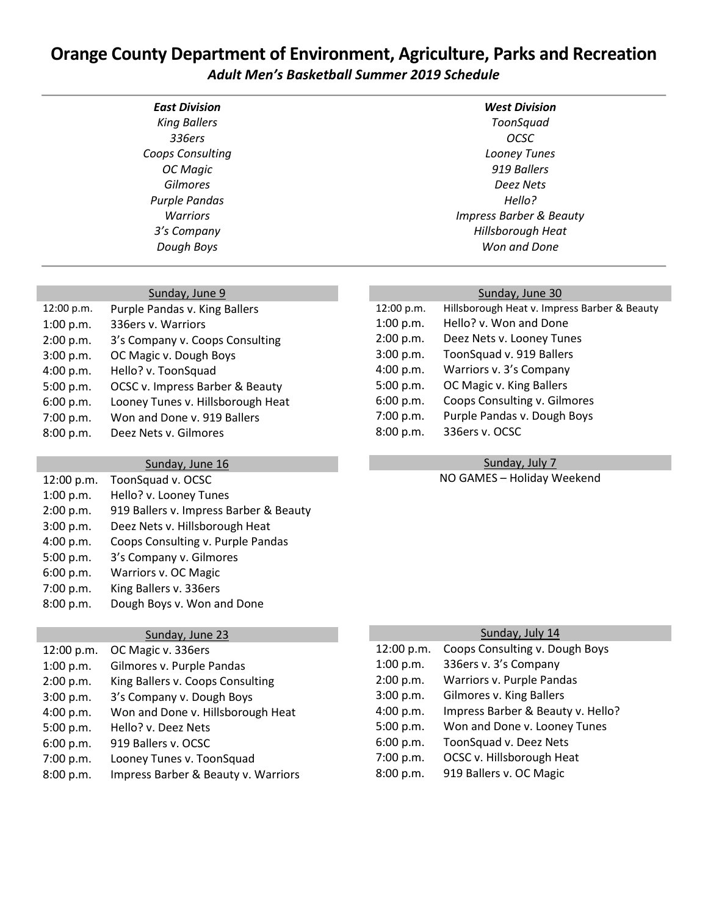# **Orange County Department of Environment, Agriculture, Parks and Recreation** *Adult Men's Basketball Summer 2019 Schedule*

| <b>East Division</b> | <b>West Division</b>               |
|----------------------|------------------------------------|
| <b>King Ballers</b>  | ToonSquad                          |
| 336ers               | OCSC                               |
| Coops Consulting     | Looney Tunes                       |
| OC Magic             | 919 Ballers                        |
| <b>Gilmores</b>      | Deez Nets                          |
| <b>Purple Pandas</b> | Hello?                             |
| <b>Warriors</b>      | <b>Impress Barber &amp; Beauty</b> |
| 3's Company          | Hillsborough Heat                  |
| Dough Boys           | Won and Done                       |

# Sunday, June 9

| 12:00 p.m. | Purple Pandas v. King Ballers     |
|------------|-----------------------------------|
| 1:00 p.m.  | 336ers v. Warriors                |
| 2:00 p.m.  | 3's Company v. Coops Consulting   |
| 3:00 p.m.  | OC Magic v. Dough Boys            |
| 4:00 p.m.  | Hello? v. ToonSquad               |
| 5:00 p.m.  | OCSC v. Impress Barber & Beauty   |
| 6:00 p.m.  | Looney Tunes v. Hillsborough Heat |
| 7:00 p.m.  | Won and Done v. 919 Ballers       |
| 8:00 p.m.  | Deez Nets v. Gilmores             |
|            |                                   |

#### Sunday, June 16

| 12:00 p.m. | ToonSquad v. OCSC                      |
|------------|----------------------------------------|
| 1:00 p.m.  | Hello? v. Looney Tunes                 |
| 2:00 p.m.  | 919 Ballers v. Impress Barber & Beauty |
| 3:00 p.m.  | Deez Nets v. Hillsborough Heat         |
| 4:00 p.m.  | Coops Consulting v. Purple Pandas      |
| 5:00 p.m.  | 3's Company v. Gilmores                |
| 6:00 p.m.  | Warriors v. OC Magic                   |
| 7:00 p.m.  | King Ballers v. 336ers                 |
| 8:00 p.m.  | Dough Boys v. Won and Done             |

#### Sunday, June 23

| 12:00 p.m. | OC Magic v. 336ers                  |
|------------|-------------------------------------|
| 1:00 p.m.  | Gilmores v. Purple Pandas           |
| 2:00 p.m.  | King Ballers v. Coops Consulting    |
| 3:00 p.m.  | 3's Company v. Dough Boys           |
| 4:00 p.m.  | Won and Done v. Hillsborough Heat   |
| 5:00 p.m.  | Hello? v. Deez Nets                 |
| 6:00 p.m.  | 919 Ballers v. OCSC                 |
| 7:00 p.m.  | Looney Tunes v. ToonSquad           |
| 8:00 p.m.  | Impress Barber & Beauty v. Warriors |

| Sunday, July 14 |                                   |
|-----------------|-----------------------------------|
| 12:00 p.m.      | Coops Consulting v. Dough Boys    |
| 1:00 p.m.       | 336ers v. 3's Company             |
| 2:00 p.m.       | Warriors v. Purple Pandas         |
| 3:00 p.m.       | Gilmores v. King Ballers          |
| 4:00 p.m.       | Impress Barber & Beauty v. Hello? |
| 5:00 p.m.       | Won and Done v. Looney Tunes      |
| 6:00 p.m.       | ToonSquad v. Deez Nets            |
| 7:00 p.m.       | OCSC v. Hillsborough Heat         |
| 8:00 p.m.       | 919 Ballers v. OC Magic           |

## Sunday, June 30

| 12:00 p.m. | Hillsborough Heat v. Impress Barber & Beauty |
|------------|----------------------------------------------|
| 1:00 p.m.  | Hello? v. Won and Done                       |
| 2:00 p.m.  | Deez Nets v. Looney Tunes                    |
| 3:00 p.m.  | ToonSquad v. 919 Ballers                     |
| 4:00 p.m.  | Warriors v. 3's Company                      |
| 5:00 p.m.  | OC Magic v. King Ballers                     |
| 6:00 p.m.  | Coops Consulting v. Gilmores                 |
| 7:00 p.m.  | Purple Pandas v. Dough Boys                  |
| 8:00 p.m.  | 336ers v. OCSC                               |
|            |                                              |

#### Sunday, July 7

NO GAMES – Holiday Weekend